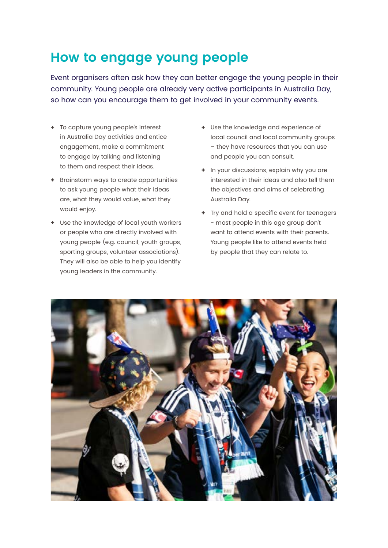## **How to engage young people**

Event organisers often ask how they can better engage the young people in their community. Young people are already very active participants in Australia Day, so how can you encourage them to get involved in your community events.

- **+** To capture young people's interest in Australia Day activities and entice engagement, make a commitment to engage by talking and listening to them and respect their ideas.
- **+** Brainstorm ways to create opportunities to ask young people what their ideas are, what they would value, what they would enjoy.
- **+** Use the knowledge of local youth workers or people who are directly involved with young people (e.g. council, youth groups, sporting groups, volunteer associations). They will also be able to help you identify young leaders in the community.
- **+** Use the knowledge and experience of local council and local community groups – they have resources that you can use and people you can consult.
- **+** In your discussions, explain why you are interested in their ideas and also tell them the objectives and aims of celebrating Australia Day.
- **+** Try and hold a specific event for teenagers - most people in this age group don't want to attend events with their parents. Young people like to attend events held by people that they can relate to.